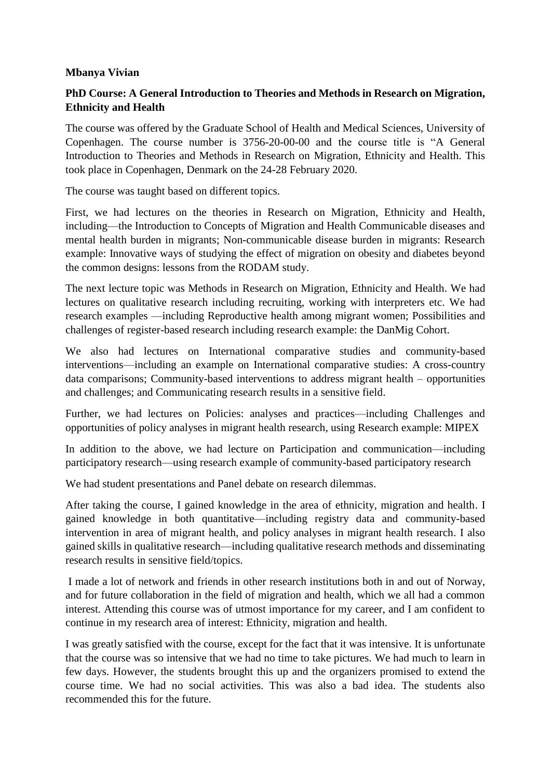## **Mbanya Vivian**

## **PhD Course: A General Introduction to Theories and Methods in Research on Migration, Ethnicity and Health**

The course was offered by the Graduate School of Health and Medical Sciences, University of Copenhagen. The course number is 3756-20-00-00 and the course title is "A General Introduction to Theories and Methods in Research on Migration, Ethnicity and Health. This took place in Copenhagen, Denmark on the 24-28 February 2020.

The course was taught based on different topics.

First, we had lectures on the theories in Research on Migration, Ethnicity and Health, including—the Introduction to Concepts of Migration and Health Communicable diseases and mental health burden in migrants; Non-communicable disease burden in migrants: Research example: Innovative ways of studying the effect of migration on obesity and diabetes beyond the common designs: lessons from the RODAM study.

The next lecture topic was Methods in Research on Migration, Ethnicity and Health. We had lectures on qualitative research including recruiting, working with interpreters etc. We had research examples —including Reproductive health among migrant women; Possibilities and challenges of register-based research including research example: the DanMig Cohort.

We also had lectures on International comparative studies and community-based interventions—including an example on International comparative studies: A cross-country data comparisons; Community-based interventions to address migrant health – opportunities and challenges; and Communicating research results in a sensitive field.

Further, we had lectures on Policies: analyses and practices—including Challenges and opportunities of policy analyses in migrant health research, using Research example: MIPEX

In addition to the above, we had lecture on Participation and communication—including participatory research—using research example of community-based participatory research

We had student presentations and Panel debate on research dilemmas.

After taking the course, I gained knowledge in the area of ethnicity, migration and health. I gained knowledge in both quantitative—including registry data and community-based intervention in area of migrant health, and policy analyses in migrant health research. I also gained skills in qualitative research—including qualitative research methods and disseminating research results in sensitive field/topics.

I made a lot of network and friends in other research institutions both in and out of Norway, and for future collaboration in the field of migration and health, which we all had a common interest. Attending this course was of utmost importance for my career, and I am confident to continue in my research area of interest: Ethnicity, migration and health.

I was greatly satisfied with the course, except for the fact that it was intensive. It is unfortunate that the course was so intensive that we had no time to take pictures. We had much to learn in few days. However, the students brought this up and the organizers promised to extend the course time. We had no social activities. This was also a bad idea. The students also recommended this for the future.